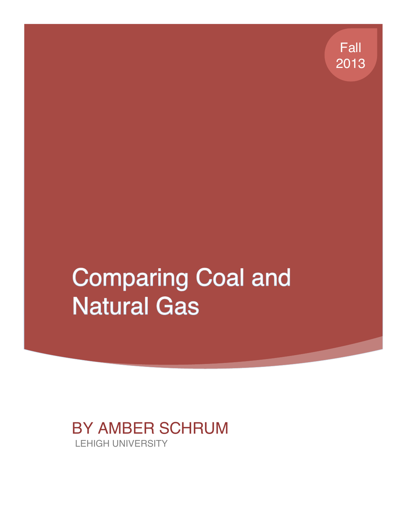Fall 2013

# **Comparing Coal and Natural Gas**

# BY AMBER SCHRUM LEHIGH UNIVERSITY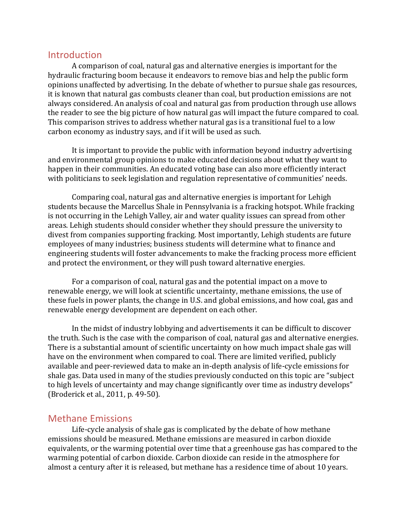#### Introduction

A comparison of coal, natural gas and alternative energies is important for the hydraulic fracturing boom because it endeavors to remove bias and help the public form opinions unaffected by advertising. In the debate of whether to pursue shale gas resources, it is known that natural gas combusts cleaner than coal, but production emissions are not always considered. An analysis of coal and natural gas from production through use allows the reader to see the big picture of how natural gas will impact the future compared to coal. This comparison strives to address whether natural gas is a transitional fuel to a low carbon economy as industry says, and if it will be used as such.

It is important to provide the public with information beyond industry advertising and environmental group opinions to make educated decisions about what they want to happen in their communities. An educated voting base can also more efficiently interact with politicians to seek legislation and regulation representative of communities' needs.

Comparing coal, natural gas and alternative energies is important for Lehigh students because the Marcellus Shale in Pennsylvania is a fracking hotspot. While fracking is not occurring in the Lehigh Valley, air and water quality issues can spread from other areas. Lehigh students should consider whether they should pressure the university to divest from companies supporting fracking. Most importantly, Lehigh students are future employees of many industries; business students will determine what to finance and engineering students will foster advancements to make the fracking process more efficient and protect the environment, or they will push toward alternative energies.

For a comparison of coal, natural gas and the potential impact on a move to renewable energy, we will look at scientific uncertainty, methane emissions, the use of these fuels in power plants, the change in U.S. and global emissions, and how coal, gas and renewable energy development are dependent on each other.

In the midst of industry lobbying and advertisements it can be difficult to discover the truth. Such is the case with the comparison of coal, natural gas and alternative energies. There is a substantial amount of scientific uncertainty on how much impact shale gas will have on the environment when compared to coal. There are limited verified, publicly available and peer-reviewed data to make an in-depth analysis of life-cycle emissions for shale gas. Data used in many of the studies previously conducted on this topic are "subject to high levels of uncertainty and may change significantly over time as industry develops" (Broderick et al., 2011, p. 49-50).

#### **Methane Emissions**

Life-cycle analysis of shale gas is complicated by the debate of how methane emissions should be measured. Methane emissions are measured in carbon dioxide equivalents, or the warming potential over time that a greenhouse gas has compared to the warming potential of carbon dioxide. Carbon dioxide can reside in the atmosphere for almost a century after it is released, but methane has a residence time of about 10 years.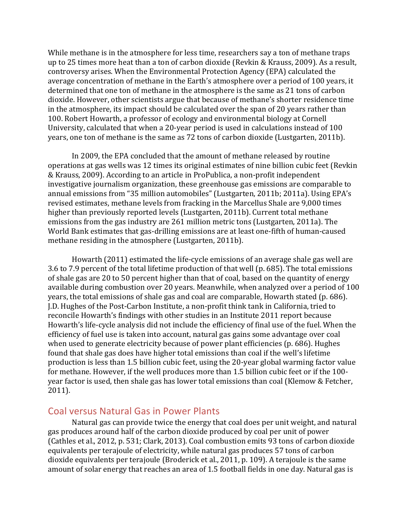While methane is in the atmosphere for less time, researchers say a ton of methane traps up to 25 times more heat than a ton of carbon dioxide (Revkin & Krauss, 2009). As a result, controversy arises. When the Environmental Protection Agency (EPA) calculated the average concentration of methane in the Earth's atmosphere over a period of 100 years, it determined that one ton of methane in the atmosphere is the same as 21 tons of carbon dioxide. However, other scientists argue that because of methane's shorter residence time in the atmosphere, its impact should be calculated over the span of 20 years rather than 100. Robert Howarth, a professor of ecology and environmental biology at Cornell University, calculated that when a 20-year period is used in calculations instead of 100 years, one ton of methane is the same as 72 tons of carbon dioxide (Lustgarten, 2011b).

In 2009, the EPA concluded that the amount of methane released by routine operations at gas wells was 12 times its original estimates of nine billion cubic feet (Revkin & Krauss, 2009). According to an article in ProPublica, a non-profit independent investigative iournalism organization, these greenhouse gas emissions are comparable to annual emissions from "35 million automobiles" (Lustgarten, 2011b; 2011a). Using EPA's revised estimates, methane levels from fracking in the Marcellus Shale are 9,000 times higher than previously reported levels (Lustgarten, 2011b). Current total methane emissions from the gas industry are 261 million metric tons (Lustgarten, 2011a). The World Bank estimates that gas-drilling emissions are at least one-fifth of human-caused methane residing in the atmosphere (Lustgarten, 2011b).

Howarth  $(2011)$  estimated the life-cycle emissions of an average shale gas well are 3.6 to 7.9 percent of the total lifetime production of that well (p. 685). The total emissions of shale gas are 20 to 50 percent higher than that of coal, based on the quantity of energy available during combustion over 20 years. Meanwhile, when analyzed over a period of 100 years, the total emissions of shale gas and coal are comparable, Howarth stated (p. 686). J.D. Hughes of the Post-Carbon Institute, a non-profit think tank in California, tried to reconcile Howarth's findings with other studies in an Institute 2011 report because Howarth's life-cycle analysis did not include the efficiency of final use of the fuel. When the efficiency of fuel use is taken into account, natural gas gains some advantage over coal when used to generate electricity because of power plant efficiencies (p. 686). Hughes found that shale gas does have higher total emissions than coal if the well's lifetime production is less than 1.5 billion cubic feet, using the 20-year global warming factor value for methane. However, if the well produces more than 1.5 billion cubic feet or if the 100year factor is used, then shale gas has lower total emissions than coal (Klemow & Fetcher, 2011).

#### Coal versus Natural Gas in Power Plants

Natural gas can provide twice the energy that coal does per unit weight, and natural gas produces around half of the carbon dioxide produced by coal per unit of power (Cathles et al., 2012, p. 531; Clark, 2013). Coal combustion emits 93 tons of carbon dioxide equivalents per terajoule of electricity, while natural gas produces 57 tons of carbon dioxide equivalents per terajoule (Broderick et al., 2011, p. 109). A terajoule is the same amount of solar energy that reaches an area of 1.5 football fields in one day. Natural gas is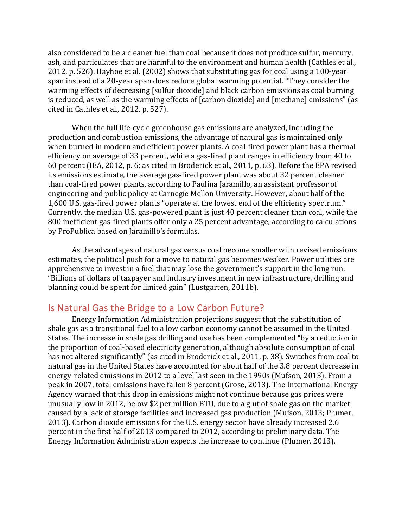also considered to be a cleaner fuel than coal because it does not produce sulfur, mercury, ash, and particulates that are harmful to the environment and human health (Cathles et al., 2012, p. 526). Hayhoe et al. (2002) shows that substituting gas for coal using a 100-year span instead of a 20-year span does reduce global warming potential. "They consider the warming effects of decreasing [sulfur dioxide] and black carbon emissions as coal burning is reduced, as well as the warming effects of [carbon dioxide] and [methane] emissions" (as cited in Cathles et al.,  $2012$ , p.  $527$ ).

When the full life-cycle greenhouse gas emissions are analyzed, including the production and combustion emissions, the advantage of natural gas is maintained only when burned in modern and efficient power plants. A coal-fired power plant has a thermal efficiency on average of 33 percent, while a gas-fired plant ranges in efficiency from 40 to 60 percent (IEA, 2012, p. 6; as cited in Broderick et al., 2011, p. 63). Before the EPA revised its emissions estimate, the average gas-fired power plant was about 32 percent cleaner than coal-fired power plants, according to Paulina Jaramillo, an assistant professor of engineering and public policy at Carnegie Mellon University. However, about half of the 1,600 U.S. gas-fired power plants "operate at the lowest end of the efficiency spectrum." Currently, the median U.S. gas-powered plant is just 40 percent cleaner than coal, while the 800 inefficient gas-fired plants offer only a 25 percent advantage, according to calculations by ProPublica based on Jaramillo's formulas.

As the advantages of natural gas versus coal become smaller with revised emissions estimates, the political push for a move to natural gas becomes weaker. Power utilities are apprehensive to invest in a fuel that may lose the government's support in the long run. "Billions of dollars of taxpayer and industry investment in new infrastructure, drilling and planning could be spent for limited gain" (Lustgarten, 2011b).

## Is Natural Gas the Bridge to a Low Carbon Future?

Energy Information Administration projections suggest that the substitution of shale gas as a transitional fuel to a low carbon economy cannot be assumed in the United States. The increase in shale gas drilling and use has been complemented "by a reduction in the proportion of coal-based electricity generation, although absolute consumption of coal has not altered significantly" (as cited in Broderick et al., 2011, p. 38). Switches from coal to natural gas in the United States have accounted for about half of the 3.8 percent decrease in energy-related emissions in 2012 to a level last seen in the 1990s (Mufson, 2013). From a peak in 2007, total emissions have fallen 8 percent (Grose, 2013). The International Energy Agency warned that this drop in emissions might not continue because gas prices were unusually low in 2012, below \$2 per million BTU, due to a glut of shale gas on the market caused by a lack of storage facilities and increased gas production (Mufson, 2013; Plumer, 2013). Carbon dioxide emissions for the U.S. energy sector have already increased 2.6 percent in the first half of 2013 compared to 2012, according to preliminary data. The Energy Information Administration expects the increase to continue (Plumer, 2013).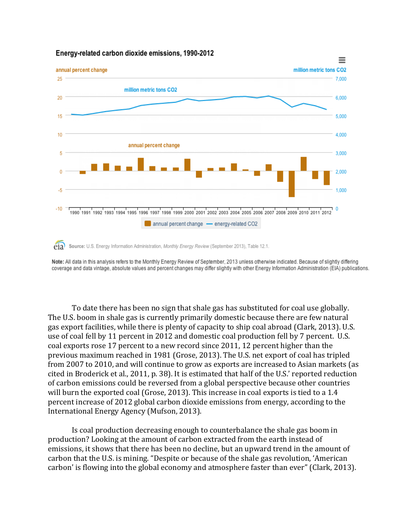

#### Energy-related carbon dioxide emissions, 1990-2012

Note: All data in this analysis refers to the Monthly Energy Review of September, 2013 unless otherwise indicated. Because of slightly differing coverage and data vintage, absolute values and percent changes may differ slightly with other Energy Information Administration (EIA) publications.

To date there has been no sign that shale gas has substituted for coal use globally. The U.S. boom in shale gas is currently primarily domestic because there are few natural gas export facilities, while there is plenty of capacity to ship coal abroad (Clark, 2013). U.S. use of coal fell by 11 percent in 2012 and domestic coal production fell by 7 percent. U.S. coal exports rose 17 percent to a new record since 2011, 12 percent higher than the previous maximum reached in 1981 (Grose, 2013). The U.S. net export of coal has tripled from 2007 to 2010, and will continue to grow as exports are increased to Asian markets (as cited in Broderick et al., 2011, p. 38). It is estimated that half of the U.S.' reported reduction of carbon emissions could be reversed from a global perspective because other countries will burn the exported coal (Grose, 2013). This increase in coal exports is tied to a 1.4 percent increase of 2012 global carbon dioxide emissions from energy, according to the International Energy Agency (Mufson, 2013).

Is coal production decreasing enough to counterbalance the shale gas boom in production? Looking at the amount of carbon extracted from the earth instead of emissions, it shows that there has been no decline, but an upward trend in the amount of carbon that the U.S. is mining. "Despite or because of the shale gas revolution, 'American carbon' is flowing into the global economy and atmosphere faster than ever" (Clark, 2013).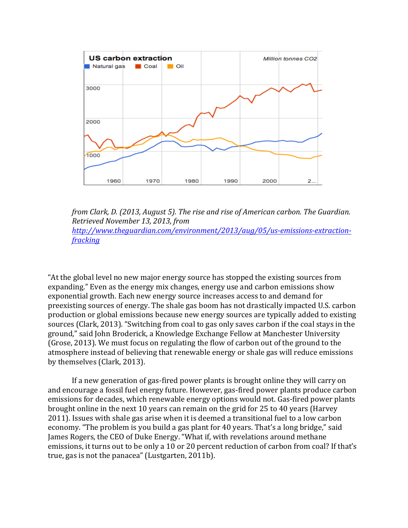

*from Clark, D. (2013, August 5). The rise and rise of American carbon. The Guardian. Retrieved November 13, 2013, from http://www.theguardian.com/environment/2013/aug/05/us-emissions-extractionfracking*

"At the global level no new major energy source has stopped the existing sources from expanding." Even as the energy mix changes, energy use and carbon emissions show exponential growth. Each new energy source increases access to and demand for preexisting sources of energy. The shale gas boom has not drastically impacted U.S. carbon production or global emissions because new energy sources are typically added to existing sources (Clark, 2013). "Switching from coal to gas only saves carbon if the coal stays in the ground," said John Broderick, a Knowledge Exchange Fellow at Manchester University (Grose, 2013). We must focus on regulating the flow of carbon out of the ground to the atmosphere instead of believing that renewable energy or shale gas will reduce emissions by themselves (Clark, 2013).

If a new generation of gas-fired power plants is brought online they will carry on and encourage a fossil fuel energy future. However, gas-fired power plants produce carbon emissions for decades, which renewable energy options would not. Gas-fired power plants brought online in the next 10 years can remain on the grid for 25 to 40 years (Harvey 2011). Issues with shale gas arise when it is deemed a transitional fuel to a low carbon economy. "The problem is you build a gas plant for 40 years. That's a long bridge," said James Rogers, the CEO of Duke Energy. "What if, with revelations around methane emissions, it turns out to be only a 10 or 20 percent reduction of carbon from coal? If that's true, gas is not the panacea" (Lustgarten, 2011b).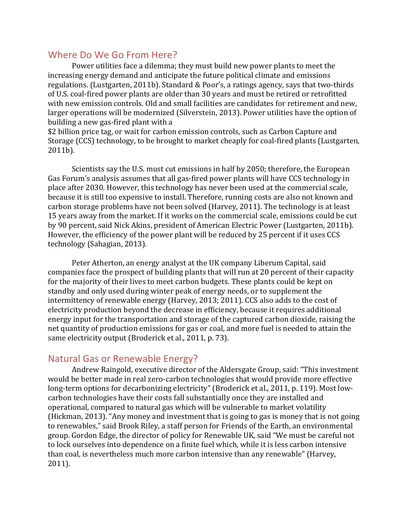## Where Do We Go From Here?

Power utilities face a dilemma; they must build new power plants to meet the increasing energy demand and anticipate the future political climate and emissions regulations. (Lustgarten, 2011b). Standard & Poor's, a ratings agency, says that two-thirds of U.S. coal-fired power plants are older than 30 years and must be retired or retrofitted with new emission controls. Old and small facilities are candidates for retirement and new, larger operations will be modernized (Silverstein, 2013). Power utilities have the option of building a new gas-fired plant with a

\$2 billion price tag, or wait for carbon emission controls, such as Carbon Capture and Storage (CCS) technology, to be brought to market cheaply for coal-fired plants (Lustgarten, 2011b). 

Scientists say the U.S. must cut emissions in half by 2050; therefore, the European Gas Forum's analysis assumes that all gas-fired power plants will have CCS technology in place after 2030. However, this technology has never been used at the commercial scale, because it is still too expensive to install. Therefore, running costs are also not known and carbon storage problems have not been solved (Harvey, 2011). The technology is at least 15 years away from the market. If it works on the commercial scale, emissions could be cut by 90 percent, said Nick Akins, president of American Electric Power (Lustgarten, 2011b). However, the efficiency of the power plant will be reduced by 25 percent if it uses CCS technology (Sahagian, 2013).

Peter Atherton, an energy analyst at the UK company Liberum Capital, said companies face the prospect of building plants that will run at 20 percent of their capacity for the majority of their lives to meet carbon budgets. These plants could be kept on standby and only used during winter peak of energy needs, or to supplement the intermittency of renewable energy (Harvey, 2013; 2011). CCS also adds to the cost of electricity production beyond the decrease in efficiency, because it requires additional energy input for the transportation and storage of the captured carbon dioxide, raising the net quantity of production emissions for gas or coal, and more fuel is needed to attain the same electricity output (Broderick et al., 2011, p. 73).

# Natural Gas or Renewable Energy?

Andrew Raingold, executive director of the Aldersgate Group, said: "This investment would be better made in real zero-carbon technologies that would provide more effective long-term options for decarbonizing electricity" (Broderick et al., 2011, p. 119). Most lowcarbon technologies have their costs fall substantially once they are installed and operational, compared to natural gas which will be vulnerable to market volatility (Hickman, 2013). "Any money and investment that is going to gas is money that is not going to renewables," said Brook Riley, a staff person for Friends of the Earth, an environmental group. Gordon Edge, the director of policy for Renewable UK, said "We must be careful not to lock ourselves into dependence on a finite fuel which, while it is less carbon intensive than coal, is nevertheless much more carbon intensive than any renewable" (Harvey, 2011).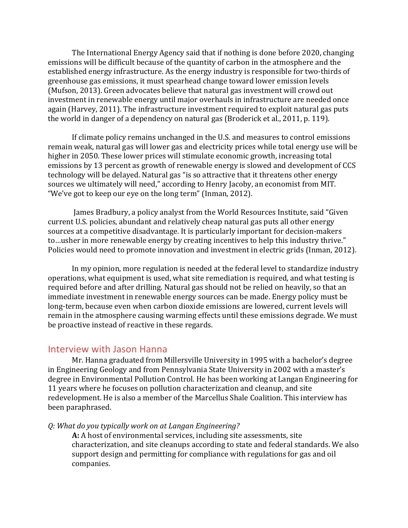The International Energy Agency said that if nothing is done before 2020, changing emissions will be difficult because of the quantity of carbon in the atmosphere and the established energy infrastructure. As the energy industry is responsible for two-thirds of greenhouse gas emissions, it must spearhead change toward lower emission levels (Mufson, 2013). Green advocates believe that natural gas investment will crowd out investment in renewable energy until major overhauls in infrastructure are needed once again (Harvey, 2011). The infrastructure investment required to exploit natural gas puts the world in danger of a dependency on natural gas (Broderick et al., 2011, p. 119).

If climate policy remains unchanged in the U.S. and measures to control emissions remain weak, natural gas will lower gas and electricity prices while total energy use will be higher in 2050. These lower prices will stimulate economic growth, increasing total emissions by 13 percent as growth of renewable energy is slowed and development of CCS technology will be delayed. Natural gas "is so attractive that it threatens other energy sources we ultimately will need," according to Henry Jacoby, an economist from MIT. "We've got to keep our eye on the long term" (Inman, 2012).

James Bradbury, a policy analyst from the World Resources Institute, said "Given current U.S. policies, abundant and relatively cheap natural gas puts all other energy sources at a competitive disadvantage. It is particularly important for decision-makers to ... usher in more renewable energy by creating incentives to help this industry thrive." Policies would need to promote innovation and investment in electric grids (Inman, 2012).

In my opinion, more regulation is needed at the federal level to standardize industry operations, what equipment is used, what site remediation is required, and what testing is required before and after drilling. Natural gas should not be relied on heavily, so that an immediate investment in renewable energy sources can be made. Energy policy must be long-term, because even when carbon dioxide emissions are lowered, current levels will remain in the atmosphere causing warming effects until these emissions degrade. We must be proactive instead of reactive in these regards.

#### Interview with Jason Hanna

Mr. Hanna graduated from Millersville University in 1995 with a bachelor's degree in Engineering Geology and from Pennsylvania State University in 2002 with a master's degree in Environmental Pollution Control. He has been working at Langan Engineering for 11 years where he focuses on pollution characterization and cleanup, and site redevelopment. He is also a member of the Marcellus Shale Coalition. This interview has been paraphrased.

#### *Q: What do you typically work on at Langan Engineering?*

A: A host of environmental services, including site assessments, site characterization, and site cleanups according to state and federal standards. We also support design and permitting for compliance with regulations for gas and oil companies.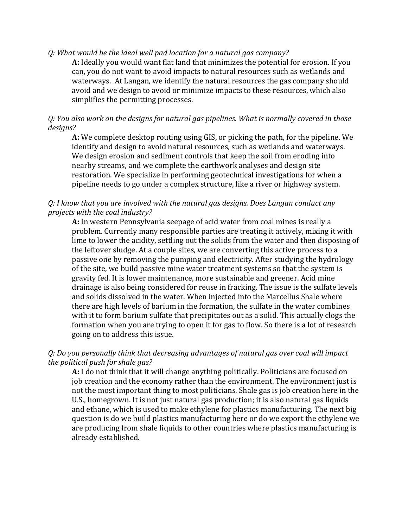#### *Q: What would be the ideal well pad location for a natural gas company?*

**A:** Ideally you would want flat land that minimizes the potential for erosion. If you can, you do not want to avoid impacts to natural resources such as wetlands and waterways. At Langan, we identify the natural resources the gas company should avoid and we design to avoid or minimize impacts to these resources, which also simplifies the permitting processes.

#### *Q:* You also work on the designs for natural gas pipelines. What is normally covered in those *designs?*

**A:** We complete desktop routing using GIS, or picking the path, for the pipeline. We identify and design to avoid natural resources, such as wetlands and waterways. We design erosion and sediment controls that keep the soil from eroding into nearby streams, and we complete the earthwork analyses and design site restoration. We specialize in performing geotechnical investigations for when a pipeline needs to go under a complex structure, like a river or highway system.

#### *Q: I* know that you are involved with the natural gas designs. Does Langan conduct any *projects with the coal industry?*

**A:** In western Pennsylvania seepage of acid water from coal mines is really a problem. Currently many responsible parties are treating it actively, mixing it with lime to lower the acidity, settling out the solids from the water and then disposing of the leftover sludge. At a couple sites, we are converting this active process to a passive one by removing the pumping and electricity. After studying the hydrology of the site, we build passive mine water treatment systems so that the system is gravity fed. It is lower maintenance, more sustainable and greener. Acid mine drainage is also being considered for reuse in fracking. The issue is the sulfate levels and solids dissolved in the water. When injected into the Marcellus Shale where there are high levels of barium in the formation, the sulfate in the water combines with it to form barium sulfate that precipitates out as a solid. This actually clogs the formation when you are trying to open it for gas to flow. So there is a lot of research going on to address this issue.

#### Q: Do you personally think that decreasing advantages of natural gas over coal will impact *the political push for shale gas?*

**A:** I do not think that it will change anything politically. Politicians are focused on job creation and the economy rather than the environment. The environment just is not the most important thing to most politicians. Shale gas is job creation here in the U.S., homegrown. It is not just natural gas production; it is also natural gas liquids and ethane, which is used to make ethylene for plastics manufacturing. The next big question is do we build plastics manufacturing here or do we export the ethylene we are producing from shale liquids to other countries where plastics manufacturing is already established.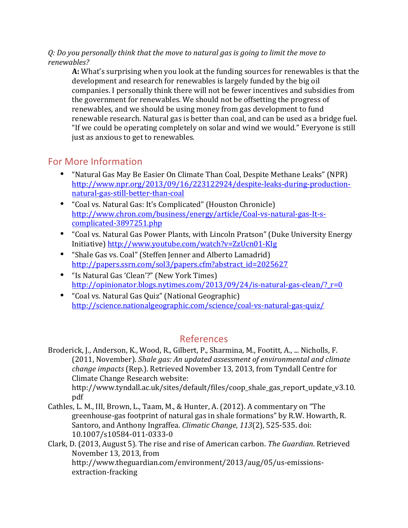#### *Q:* Do you personally think that the move to natural gas is going to limit the move to *renewables?*

**A:** What's surprising when you look at the funding sources for renewables is that the development and research for renewables is largely funded by the big oil companies. I personally think there will not be fewer incentives and subsidies from the government for renewables. We should not be offsetting the progress of renewables, and we should be using money from gas development to fund renewable research. Natural gas is better than coal, and can be used as a bridge fuel. "If we could be operating completely on solar and wind we would." Everyone is still just as anxious to get to renewables.

# For More Information

- "Natural Gas May Be Easier On Climate Than Coal, Despite Methane Leaks" (NPR) http://www.npr.org/2013/09/16/223122924/despite-leaks-during-productionnatural-gas-still-better-than-coal
- "Coal vs. Natural Gas: It's Complicated" (Houston Chronicle) http://www.chron.com/business/energy/article/Coal-vs-natural-gas-It-scomplicated-3897251.php
- "Coal vs. Natural Gas Power Plants, with Lincoln Pratson" (Duke University Energy Initiative) http://www.youtube.com/watch?v=ZzUcn01-KIg
- "Shale Gas vs. Coal" (Steffen Jenner and Alberto Lamadrid) http://papers.ssrn.com/sol3/papers.cfm?abstract\_id=2025627
- "Is Natural Gas 'Clean'?" (New York Times) http://opinionator.blogs.nytimes.com/2013/09/24/is-natural-gas-clean/?\_r=0
- "Coal vs. Natural Gas Quiz" (National Geographic) http://science.nationalgeographic.com/science/coal-vs-natural-gas-quiz/

# References

Broderick, J., Anderson, K., Wood, R., Gilbert, P., Sharmina, M., Footitt, A., ... Nicholls, F. (2011, November). *Shale gas: An updated assessment of environmental and climate change impacts* (Rep.). Retrieved November 13, 2013, from Tyndall Centre for Climate Change Research website:

http://www.tyndall.ac.uk/sites/default/files/coop\_shale\_gas\_report\_update\_v3.10. pdf

- Cathles, L. M., III, Brown, L., Taam, M., & Hunter, A. (2012). A commentary on "The greenhouse-gas footprint of natural gas in shale formations" by R.W. Howarth, R. Santoro, and Anthony Ingraffea. *Climatic Change*, 113(2), 525-535. doi: 10.1007/s10584-011-0333-0
- Clark, D. (2013, August 5). The rise and rise of American carbon. *The Guardian*. Retrieved November 13, 2013, from http://www.theguardian.com/environment/2013/aug/05/us-emissionsextraction-fracking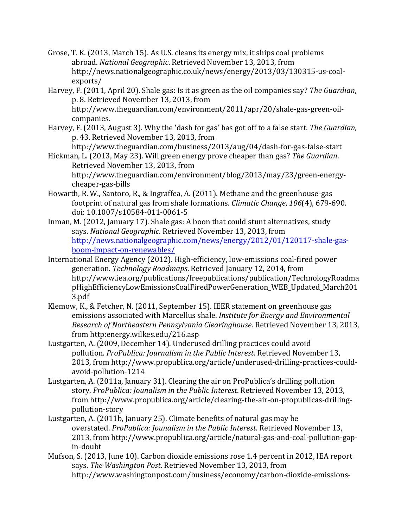- Grose, T. K. (2013, March 15). As U.S. cleans its energy mix, it ships coal problems abroad. *National Geographic*. Retrieved November 13, 2013, from http://news.nationalgeographic.co.uk/news/energy/2013/03/130315-us-coalexports/
- Harvey, F. (2011, April 20). Shale gas: Is it as green as the oil companies say? *The Guardian*, p. 8. Retrieved November 13, 2013, from http://www.theguardian.com/environment/2011/apr/20/shale-gas-green-oilcompanies.
- Harvey, F. (2013, August 3). Why the 'dash for gas' has got off to a false start. *The Guardian*, p. 43. Retrieved November 13, 2013, from

http://www.theguardian.com/business/2013/aug/04/dash-for-gas-false-start

- Hickman, L. (2013, May 23). Will green energy prove cheaper than gas? *The Guardian*. Retrieved November 13, 2013, from http://www.theguardian.com/environment/blog/2013/may/23/green-energycheaper-gas-bills
- Howarth, R. W., Santoro, R., & Ingraffea, A. (2011). Methane and the greenhouse-gas footprint of natural gas from shale formations. *Climatic Change*, 106(4), 679-690. doi: 10.1007/s10584-011-0061-5
- Inman, M. (2012, January 17). Shale gas: A boon that could stunt alternatives, study says. *National Geographic*. Retrieved November 13, 2013, from http://news.nationalgeographic.com/news/energy/2012/01/120117-shale-gasboom-impact-on-renewables/
- International Energy Agency (2012). High-efficiency, low-emissions coal-fired power generation. *Technology Roadmaps*. Retrieved January 12, 2014, from http://www.iea.org/publications/freepublications/publication/TechnologyRoadma pHighEfficiencyLowEmissionsCoalFiredPowerGeneration\_WEB\_Updated\_March201 3.pdf
- Klemow, K., & Fetcher, N. (2011, September 15). IEER statement on greenhouse gas emissions associated with Marcellus shale. *Institute for Energy and Environmental Research of Northeastern Pennsylvania Clearinghouse*. Retrieved November 13, 2013, from http:energy.wilkes.edu/216.asp
- Lustgarten, A. (2009, December 14). Underused drilling practices could avoid pollution. *ProPublica: Journalism in the Public Interest*. Retrieved November 13, 2013, from http://www.propublica.org/article/underused-drilling-practices-couldavoid-pollution-1214
- Lustgarten, A. (2011a, January 31). Clearing the air on ProPublica's drilling pollution story. ProPublica: Jounalism in the Public Interest. Retrieved November 13, 2013, from http://www.propublica.org/article/clearing-the-air-on-propublicas-drillingpollution-story
- Lustgarten, A. (2011b, January 25). Climate benefits of natural gas may be overstated. *ProPublica: Jounalism in the Public Interest*. Retrieved November 13, 2013, from http://www.propublica.org/article/natural-gas-and-coal-pollution-gapin-doubt
- Mufson, S. (2013, June 10). Carbon dioxide emissions rose 1.4 percent in 2012, IEA report says. *The Washington Post*. Retrieved November 13, 2013, from http://www.washingtonpost.com/business/economy/carbon-dioxide-emissions-